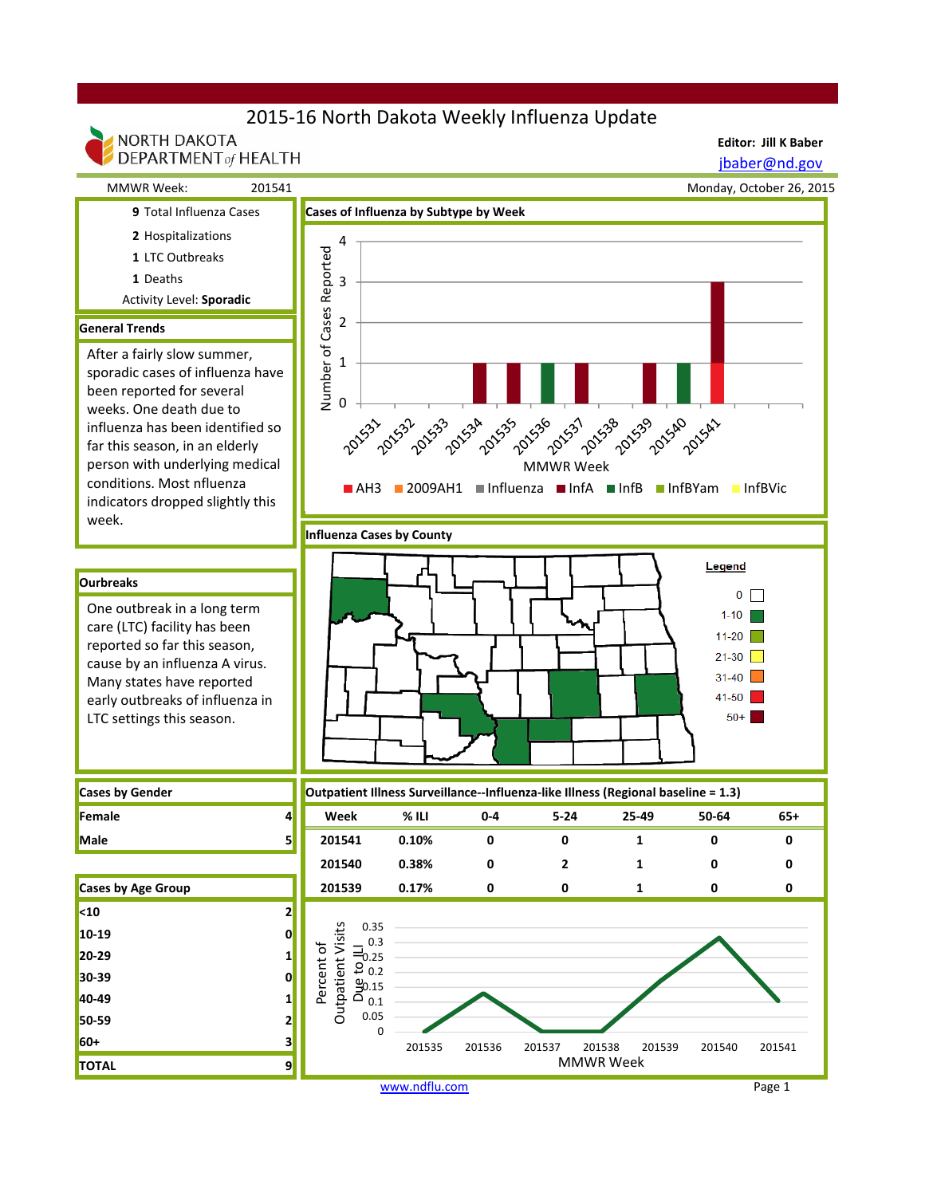## 2015-16 North Dakota Weekly Influenza Update



www.ndflu.com Page 1